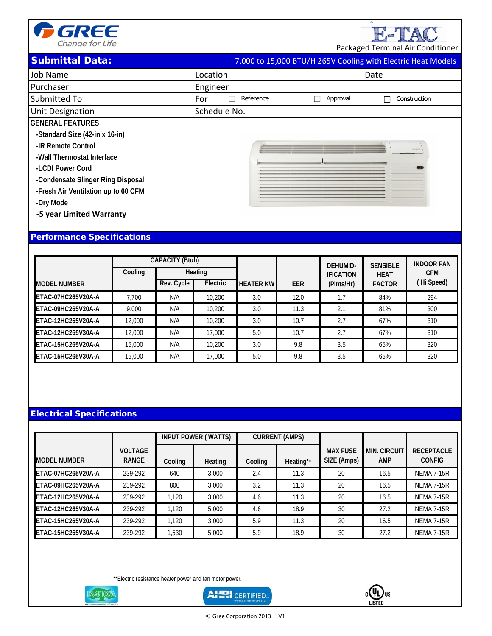

E-TAC Packaged Terminal Air Conditioner

Submittal Data: 7,000 to 15,000 BTU/H 265V Cooling with Electric Heat Models

|                                     |                  | with Electric ricat incacio |
|-------------------------------------|------------------|-----------------------------|
| Job Name                            | Location         | Date                        |
| Purchaser                           | Engineer         |                             |
| Submitted To                        | For<br>Reference | Approval<br>Construction    |
| <b>Unit Designation</b>             | Schedule No.     |                             |
| <b>GENERAL FEATURES</b>             |                  |                             |
| -Standard Size (42-in x 16-in)      |                  |                             |
| -IR Remote Control                  |                  |                             |
| -Wall Thermostat Interface          |                  |                             |
| -LCDI Power Cord                    |                  |                             |
| -Condensate Slinger Ring Disposal   |                  |                             |
| -Fresh Air Ventilation up to 60 CFM |                  |                             |
| -Dry Mode                           |                  |                             |
| -5 year Limited Warranty            |                  |                             |
|                                     |                  |                             |
|                                     |                  |                             |

## Performance Specifications

|                     |         | <b>CAPACITY (Btuh)</b> |          |                  |            | <b>DEHUMID-</b>  | <b>SENSIBLE</b> | <b>INDOOR FAN</b> |
|---------------------|---------|------------------------|----------|------------------|------------|------------------|-----------------|-------------------|
|                     | Cooling | Heating                |          |                  |            | <b>IFICATION</b> | <b>HEAT</b>     | <b>CFM</b>        |
| <b>MODEL NUMBER</b> |         | Rev. Cycle             | Electric | <b>HEATER KW</b> | <b>EER</b> | (Pints/Hr)       | <b>FACTOR</b>   | (Hi Speed)        |
| ETAC-07HC265V20A-A  | 7.700   | N/A                    | 10,200   | 3.0              | 12.0       | 1.7              | 84%             | 294               |
| ETAC-09HC265V20A-A  | 9.000   | N/A                    | 10,200   | 3.0              | 11.3       | 2.1              | 81%             | 300               |
| ETAC-12HC265V20A-A  | 12,000  | N/A                    | 10,200   | 3.0              | 10.7       | 2.7              | 67%             | 310               |
| ETAC-12HC265V30A-A  | 12,000  | N/A                    | 17,000   | 5.0              | 10.7       | 2.7              | 67%             | 310               |
| ETAC-15HC265V20A-A  | 15,000  | N/A                    | 10,200   | 3.0              | 9.8        | 3.5              | 65%             | 320               |
| ETAC-15HC265V30A-A  | 15,000  | N/A                    | 17,000   | 5.0              | 9.8        | 3.5              | 65%             | 320               |

### Electrical Specifications

|                           |                                |         | INPUT POWER (WATTS) | <b>CURRENT (AMPS)</b> |           |                                |                                   |                                    |
|---------------------------|--------------------------------|---------|---------------------|-----------------------|-----------|--------------------------------|-----------------------------------|------------------------------------|
| <b>MODEL NUMBER</b>       | <b>VOLTAGE</b><br><b>RANGE</b> | Cooling | Heating             | Cooling               | Heating** | <b>MAX FUSE</b><br>SIZE (Amps) | <b>MIN. CIRCUIT</b><br><b>AMP</b> | <b>RECEPTACLE</b><br><b>CONFIG</b> |
| <b>ETAC-07HC265V20A-A</b> | 239-292                        | 640     | 3.000               | 2.4                   | 11.3      | 20                             | 16.5                              | <b>NEMA 7-15R</b>                  |
| ETAC-09HC265V20A-A        | 239-292                        | 800     | 3.000               | 3.2                   | 11.3      | 20                             | 16.5                              | <b>NEMA 7-15R</b>                  |
| ETAC-12HC265V20A-A        | 239-292                        | 1.120   | 3.000               | 4.6                   | 11.3      | 20                             | 16.5                              | <b>NEMA 7-15R</b>                  |
| <b>ETAC-12HC265V30A-A</b> | 239-292                        | 1.120   | 5.000               | 4.6                   | 18.9      | 30                             | 27.2                              | <b>NEMA 7-15R</b>                  |
| ETAC-15HC265V20A-A        | 239-292                        | 1.120   | 3.000               | 5.9                   | 11.3      | 20                             | 16.5                              | <b>NEMA 7-15R</b>                  |
| ETAC-15HC265V30A-A        | 239-292                        | 1.530   | 5.000               | 5.9                   | 18.9      | 30                             | 27.2                              | <b>NEMA 7-15R</b>                  |

\*\*Electric resistance heater power and fan motor power.



**AHRI** CERTIFIED-



© Gree Corporation 2013 V1